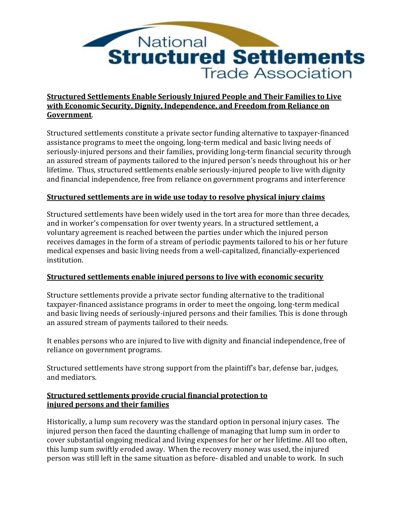

# **Structured Settlements Enable Seriously Injured People and Their Families to Live with Economic Security, Dignity, Independence, and Freedom from Reliance on Government**.

Structured settlements constitute a private sector funding alternative to taxpayer-financed assistance programs to meet the ongoing, long-term medical and basic living needs of seriously-injured persons and their families, providing long-term financial security through an assured stream of payments tailored to the injured person's needs throughout his or her lifetime. Thus, structured settlements enable seriously-injured people to live with dignity and financial independence, free from reliance on government programs and interference

#### **Structured settlements are in wide use today to resolve physical injury claims**

Structured settlements have been widely used in the tort area for more than three decades, and in worker's compensation for over twenty years. In a structured settlement, a voluntary agreement is reached between the parties under which the injured person receives damages in the form of a stream of periodic payments tailored to his or her future medical expenses and basic living needs from a well-capitalized, financially-experienced institution.

# **Structured settlements enable injured persons to live with economic security**

Structure settlements provide a private sector funding alternative to the traditional taxpayer-financed assistance programs in order to meet the ongoing, long-term medical and basic living needs of seriously-injured persons and their families. This is done through an assured stream of payments tailored to their needs.

It enables persons who are injured to live with dignity and financial independence, free of reliance on government programs.

Structured settlements have strong support from the plaintiff's bar, defense bar, judges, and mediators.

#### **Structured settlements provide crucial financial protection to injured persons and their families**

Historically, a lump sum recovery was the standard option in personal injury cases. The injured person then faced the daunting challenge of managing that lump sum in order to cover substantial ongoing medical and living expenses for her or her lifetime. All too often, this lump sum swiftly eroded away. When the recovery money was used, the injured person was still left in the same situation as before- disabled and unable to work. In such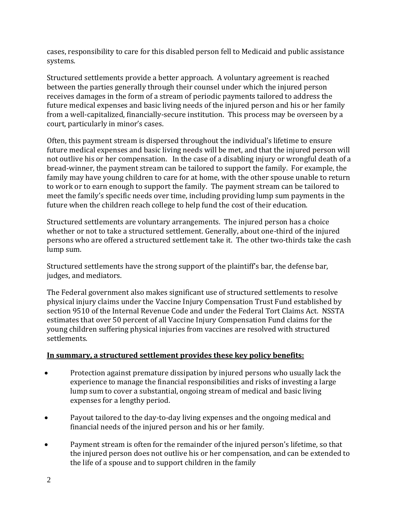cases, responsibility to care for this disabled person fell to Medicaid and public assistance systems.

Structured settlements provide a better approach. A voluntary agreement is reached between the parties generally through their counsel under which the injured person receives damages in the form of a stream of periodic payments tailored to address the future medical expenses and basic living needs of the injured person and his or her family from a well-capitalized, financially-secure institution. This process may be overseen by a court, particularly in minor's cases.

Often, this payment stream is dispersed throughout the individual's lifetime to ensure future medical expenses and basic living needs will be met, and that the injured person will not outlive his or her compensation. In the case of a disabling injury or wrongful death of a bread-winner, the payment stream can be tailored to support the family. For example, the family may have young children to care for at home, with the other spouse unable to return to work or to earn enough to support the family. The payment stream can be tailored to meet the family's specific needs over time, including providing lump sum payments in the future when the children reach college to help fund the cost of their education.

Structured settlements are voluntary arrangements. The injured person has a choice whether or not to take a structured settlement. Generally, about one-third of the injured persons who are offered a structured settlement take it. The other two-thirds take the cash lump sum.

Structured settlements have the strong support of the plaintiff's bar, the defense bar, judges, and mediators.

The Federal government also makes significant use of structured settlements to resolve physical injury claims under the Vaccine Injury Compensation Trust Fund established by section 9510 of the Internal Revenue Code and under the Federal Tort Claims Act. NSSTA estimates that over 50 percent of all Vaccine Injury Compensation Fund claims for the young children suffering physical injuries from vaccines are resolved with structured settlements.

# **In summary, a structured settlement provides these key policy benefits:**

- Protection against premature dissipation by injured persons who usually lack the experience to manage the financial responsibilities and risks of investing a large lump sum to cover a substantial, ongoing stream of medical and basic living expenses for a lengthy period.
- Payout tailored to the day-to-day living expenses and the ongoing medical and financial needs of the injured person and his or her family.
- Payment stream is often for the remainder of the injured person's lifetime, so that the injured person does not outlive his or her compensation, and can be extended to the life of a spouse and to support children in the family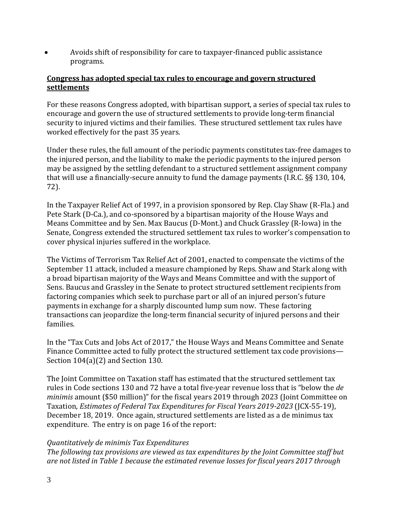• Avoids shift of responsibility for care to taxpayer-financed public assistance programs.

#### **Congress has adopted special tax rules to encourage and govern structured settlements**

For these reasons Congress adopted, with bipartisan support, a series of special tax rules to encourage and govern the use of structured settlements to provide long-term financial security to injured victims and their families. These structured settlement tax rules have worked effectively for the past 35 years.

Under these rules, the full amount of the periodic payments constitutes tax-free damages to the injured person, and the liability to make the periodic payments to the injured person may be assigned by the settling defendant to a structured settlement assignment company that will use a financially-secure annuity to fund the damage payments (I.R.C. §§ 130, 104, 72).

In the Taxpayer Relief Act of 1997, in a provision sponsored by Rep. Clay Shaw (R-Fla.) and Pete Stark (D-Ca.), and co-sponsored by a bipartisan majority of the House Ways and Means Committee and by Sen. Max Baucus (D-Mont.) and Chuck Grassley (R-Iowa) in the Senate, Congress extended the structured settlement tax rules to worker's compensation to cover physical injuries suffered in the workplace.

The Victims of Terrorism Tax Relief Act of 2001, enacted to compensate the victims of the September 11 attack, included a measure championed by Reps. Shaw and Stark along with a broad bipartisan majority of the Ways and Means Committee and with the support of Sens. Baucus and Grassley in the Senate to protect structured settlement recipients from factoring companies which seek to purchase part or all of an injured person's future payments in exchange for a sharply discounted lump sum now. These factoring transactions can jeopardize the long-term financial security of injured persons and their families.

In the "Tax Cuts and Jobs Act of 2017," the House Ways and Means Committee and Senate Finance Committee acted to fully protect the structured settlement tax code provisions— Section 104(a)(2) and Section 130.

The Joint Committee on Taxation staff has estimated that the structured settlement tax rules in Code sections 130 and 72 have a total five-year revenue loss that is "below the *de minimis* amount (\$50 million)" for the fiscal years 2019 through 2023 (Joint Committee on Taxation, *Estimates of Federal Tax Expenditures for Fiscal Years 2019-2023* (JCX-55-19), December 18, 2019. Once again, structured settlements are listed as a de minimus tax expenditure. The entry is on page 16 of the report:

#### *Quantitatively de minimis Tax Expenditures*

*The following tax provisions are viewed as tax expenditures by the Joint Committee staff but are not listed in Table 1 because the estimated revenue losses for fiscal years 2017 through*